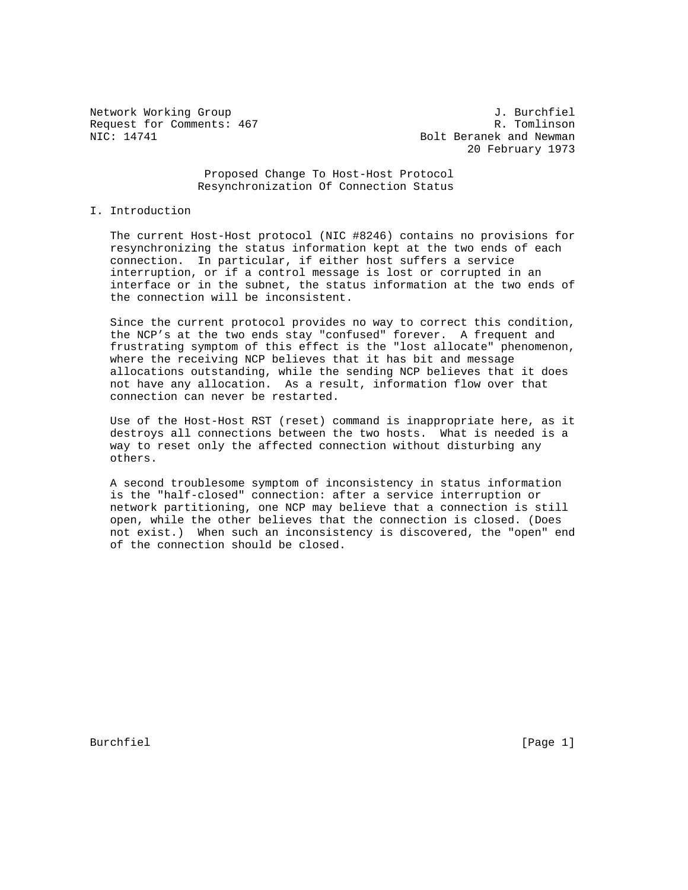Request for Comments: 467<br>NIC: 14741

Network Working Group<br>
Request for Comments: 467 (1999) 1. Burchfiel<br>
R. Tomlinson Bolt Beranek and Newman 20 February 1973

### Proposed Change To Host-Host Protocol Resynchronization Of Connection Status

## I. Introduction

 The current Host-Host protocol (NIC #8246) contains no provisions for resynchronizing the status information kept at the two ends of each connection. In particular, if either host suffers a service interruption, or if a control message is lost or corrupted in an interface or in the subnet, the status information at the two ends of the connection will be inconsistent.

 Since the current protocol provides no way to correct this condition, the NCP's at the two ends stay "confused" forever. A frequent and frustrating symptom of this effect is the "lost allocate" phenomenon, where the receiving NCP believes that it has bit and message allocations outstanding, while the sending NCP believes that it does not have any allocation. As a result, information flow over that connection can never be restarted.

 Use of the Host-Host RST (reset) command is inappropriate here, as it destroys all connections between the two hosts. What is needed is a way to reset only the affected connection without disturbing any others.

 A second troublesome symptom of inconsistency in status information is the "half-closed" connection: after a service interruption or network partitioning, one NCP may believe that a connection is still open, while the other believes that the connection is closed. (Does not exist.) When such an inconsistency is discovered, the "open" end of the connection should be closed.

Burchfiel [Page 1]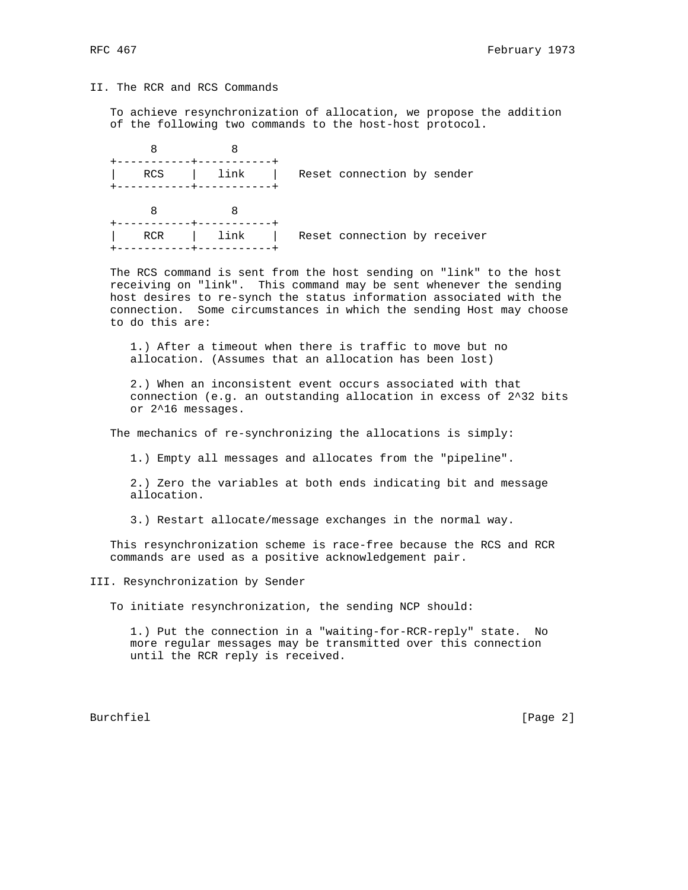# II. The RCR and RCS Commands

 To achieve resynchronization of allocation, we propose the addition of the following two commands to the host-host protocol.

|  | <b>RCS</b> | link | Reset connection by sender   |
|--|------------|------|------------------------------|
|  |            |      |                              |
|  | <b>RCR</b> | link | Reset connection by receiver |
|  |            |      |                              |

 The RCS command is sent from the host sending on "link" to the host receiving on "link". This command may be sent whenever the sending host desires to re-synch the status information associated with the connection. Some circumstances in which the sending Host may choose to do this are:

 1.) After a timeout when there is traffic to move but no allocation. (Assumes that an allocation has been lost)

 2.) When an inconsistent event occurs associated with that connection (e.g. an outstanding allocation in excess of 2^32 bits or 2^16 messages.

The mechanics of re-synchronizing the allocations is simply:

1.) Empty all messages and allocates from the "pipeline".

 2.) Zero the variables at both ends indicating bit and message allocation.

3.) Restart allocate/message exchanges in the normal way.

 This resynchronization scheme is race-free because the RCS and RCR commands are used as a positive acknowledgement pair.

III. Resynchronization by Sender

To initiate resynchronization, the sending NCP should:

 1.) Put the connection in a "waiting-for-RCR-reply" state. No more regular messages may be transmitted over this connection until the RCR reply is received.

Burchfiel [Page 2]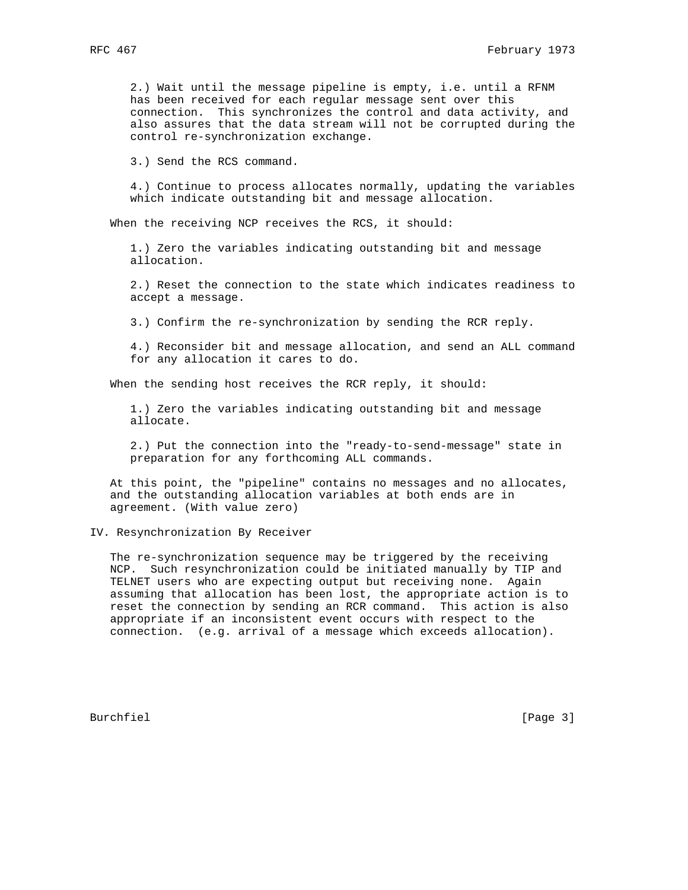2.) Wait until the message pipeline is empty, i.e. until a RFNM has been received for each regular message sent over this connection. This synchronizes the control and data activity, and also assures that the data stream will not be corrupted during the control re-synchronization exchange.

3.) Send the RCS command.

 4.) Continue to process allocates normally, updating the variables which indicate outstanding bit and message allocation.

When the receiving NCP receives the RCS, it should:

 1.) Zero the variables indicating outstanding bit and message allocation.

 2.) Reset the connection to the state which indicates readiness to accept a message.

3.) Confirm the re-synchronization by sending the RCR reply.

 4.) Reconsider bit and message allocation, and send an ALL command for any allocation it cares to do.

When the sending host receives the RCR reply, it should:

 1.) Zero the variables indicating outstanding bit and message allocate.

 2.) Put the connection into the "ready-to-send-message" state in preparation for any forthcoming ALL commands.

 At this point, the "pipeline" contains no messages and no allocates, and the outstanding allocation variables at both ends are in agreement. (With value zero)

IV. Resynchronization By Receiver

 The re-synchronization sequence may be triggered by the receiving NCP. Such resynchronization could be initiated manually by TIP and TELNET users who are expecting output but receiving none. Again assuming that allocation has been lost, the appropriate action is to reset the connection by sending an RCR command. This action is also appropriate if an inconsistent event occurs with respect to the connection. (e.g. arrival of a message which exceeds allocation).

Burchfiel [Page 3]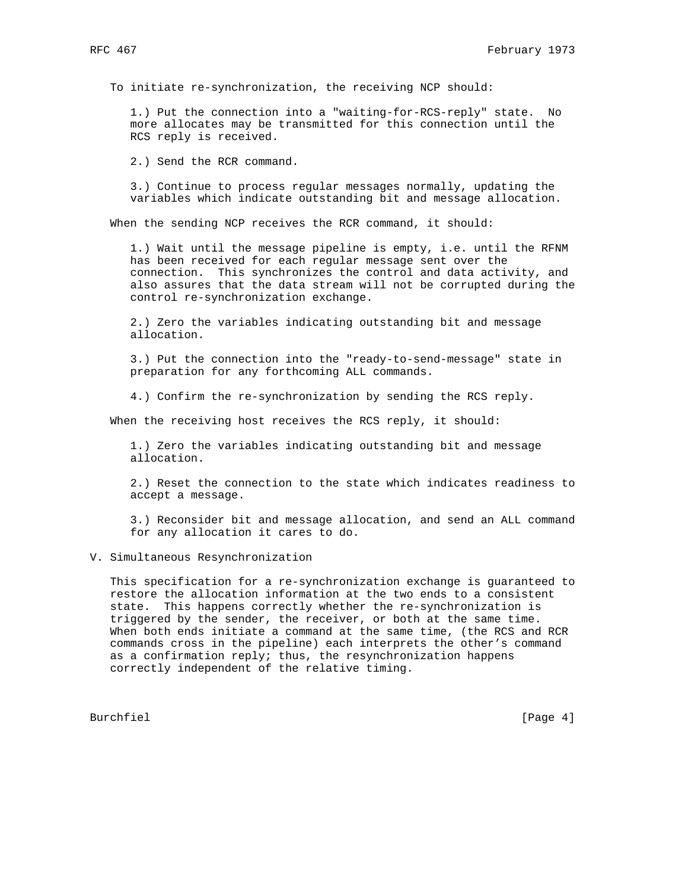To initiate re-synchronization, the receiving NCP should:

 1.) Put the connection into a "waiting-for-RCS-reply" state. No more allocates may be transmitted for this connection until the RCS reply is received.

2.) Send the RCR command.

 3.) Continue to process regular messages normally, updating the variables which indicate outstanding bit and message allocation.

When the sending NCP receives the RCR command, it should:

 1.) Wait until the message pipeline is empty, i.e. until the RFNM has been received for each regular message sent over the connection. This synchronizes the control and data activity, and also assures that the data stream will not be corrupted during the control re-synchronization exchange.

 2.) Zero the variables indicating outstanding bit and message allocation.

 3.) Put the connection into the "ready-to-send-message" state in preparation for any forthcoming ALL commands.

4.) Confirm the re-synchronization by sending the RCS reply.

When the receiving host receives the RCS reply, it should:

 1.) Zero the variables indicating outstanding bit and message allocation.

 2.) Reset the connection to the state which indicates readiness to accept a message.

 3.) Reconsider bit and message allocation, and send an ALL command for any allocation it cares to do.

V. Simultaneous Resynchronization

 This specification for a re-synchronization exchange is guaranteed to restore the allocation information at the two ends to a consistent state. This happens correctly whether the re-synchronization is triggered by the sender, the receiver, or both at the same time. When both ends initiate a command at the same time, (the RCS and RCR commands cross in the pipeline) each interprets the other's command as a confirmation reply; thus, the resynchronization happens correctly independent of the relative timing.

Burchfiel [Page 4]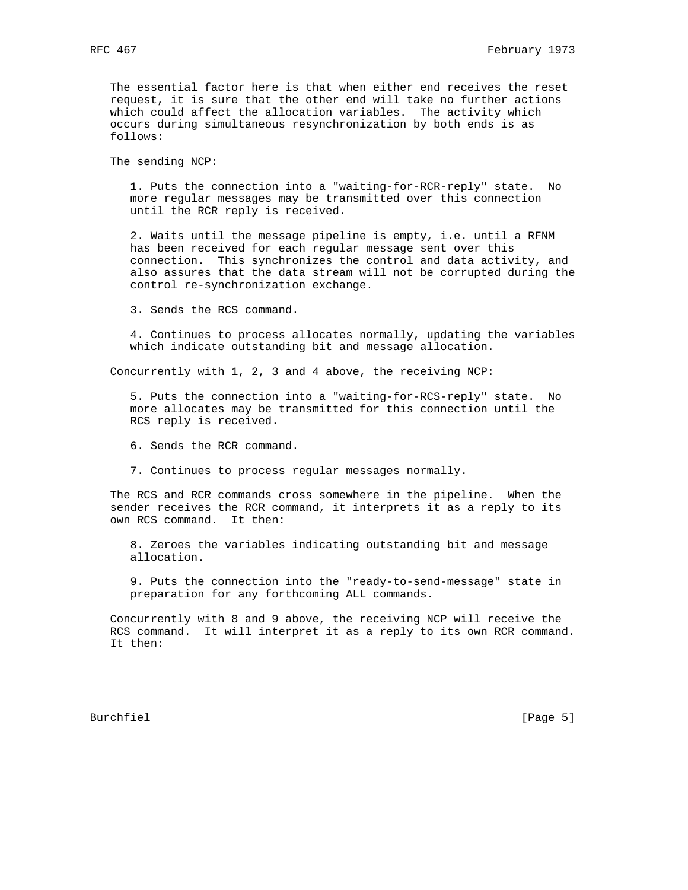The essential factor here is that when either end receives the reset request, it is sure that the other end will take no further actions which could affect the allocation variables. The activity which occurs during simultaneous resynchronization by both ends is as follows:

The sending NCP:

 1. Puts the connection into a "waiting-for-RCR-reply" state. No more regular messages may be transmitted over this connection until the RCR reply is received.

 2. Waits until the message pipeline is empty, i.e. until a RFNM has been received for each regular message sent over this connection. This synchronizes the control and data activity, and also assures that the data stream will not be corrupted during the control re-synchronization exchange.

3. Sends the RCS command.

 4. Continues to process allocates normally, updating the variables which indicate outstanding bit and message allocation.

Concurrently with 1, 2, 3 and 4 above, the receiving NCP:

 5. Puts the connection into a "waiting-for-RCS-reply" state. No more allocates may be transmitted for this connection until the RCS reply is received.

6. Sends the RCR command.

7. Continues to process regular messages normally.

 The RCS and RCR commands cross somewhere in the pipeline. When the sender receives the RCR command, it interprets it as a reply to its own RCS command. It then:

 8. Zeroes the variables indicating outstanding bit and message allocation.

 9. Puts the connection into the "ready-to-send-message" state in preparation for any forthcoming ALL commands.

 Concurrently with 8 and 9 above, the receiving NCP will receive the RCS command. It will interpret it as a reply to its own RCR command. It then:

Burchfiel [Page 5]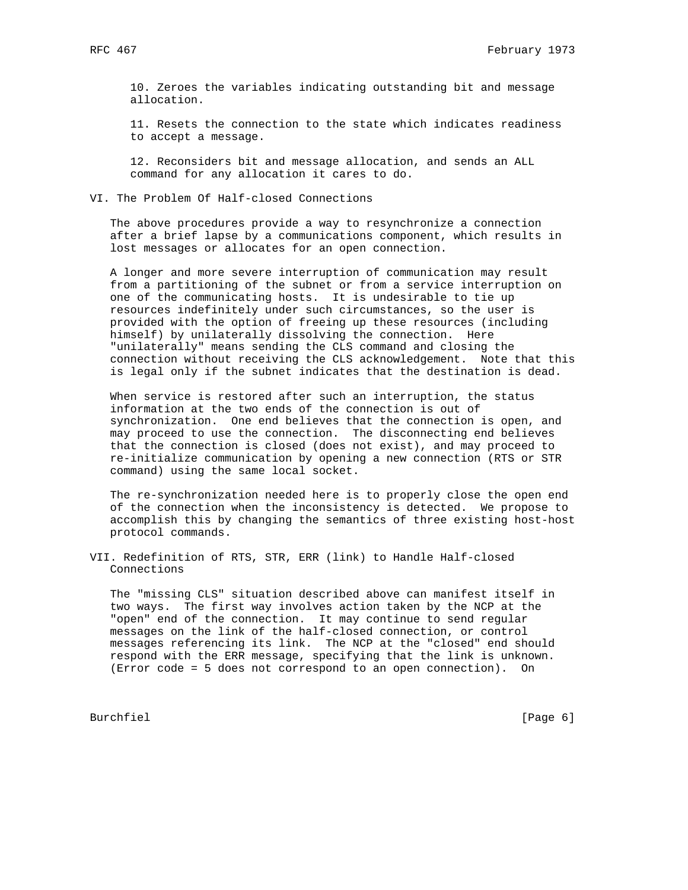10. Zeroes the variables indicating outstanding bit and message allocation.

 11. Resets the connection to the state which indicates readiness to accept a message.

 12. Reconsiders bit and message allocation, and sends an ALL command for any allocation it cares to do.

## VI. The Problem Of Half-closed Connections

 The above procedures provide a way to resynchronize a connection after a brief lapse by a communications component, which results in lost messages or allocates for an open connection.

 A longer and more severe interruption of communication may result from a partitioning of the subnet or from a service interruption on one of the communicating hosts. It is undesirable to tie up resources indefinitely under such circumstances, so the user is provided with the option of freeing up these resources (including himself) by unilaterally dissolving the connection. Here "unilaterally" means sending the CLS command and closing the connection without receiving the CLS acknowledgement. Note that this is legal only if the subnet indicates that the destination is dead.

 When service is restored after such an interruption, the status information at the two ends of the connection is out of synchronization. One end believes that the connection is open, and may proceed to use the connection. The disconnecting end believes that the connection is closed (does not exist), and may proceed to re-initialize communication by opening a new connection (RTS or STR command) using the same local socket.

 The re-synchronization needed here is to properly close the open end of the connection when the inconsistency is detected. We propose to accomplish this by changing the semantics of three existing host-host protocol commands.

VII. Redefinition of RTS, STR, ERR (link) to Handle Half-closed Connections

 The "missing CLS" situation described above can manifest itself in two ways. The first way involves action taken by the NCP at the "open" end of the connection. It may continue to send regular messages on the link of the half-closed connection, or control messages referencing its link. The NCP at the "closed" end should respond with the ERR message, specifying that the link is unknown. (Error code = 5 does not correspond to an open connection). On

Burchfiel [Page 6]